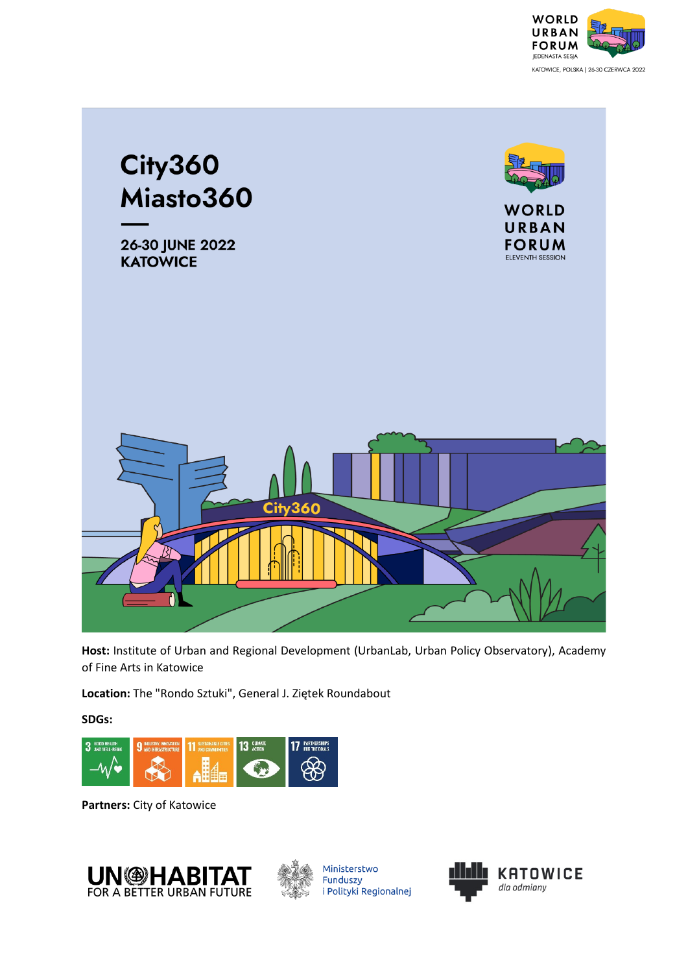



**Host:** Institute of Urban and Regional Development (UrbanLab, Urban Policy Observatory), Academy of Fine Arts in Katowice

**Location:** The "Rondo Sztuki", General J. Ziętek Roundabout

**SDGs:**



**Partners:** City of Katowice





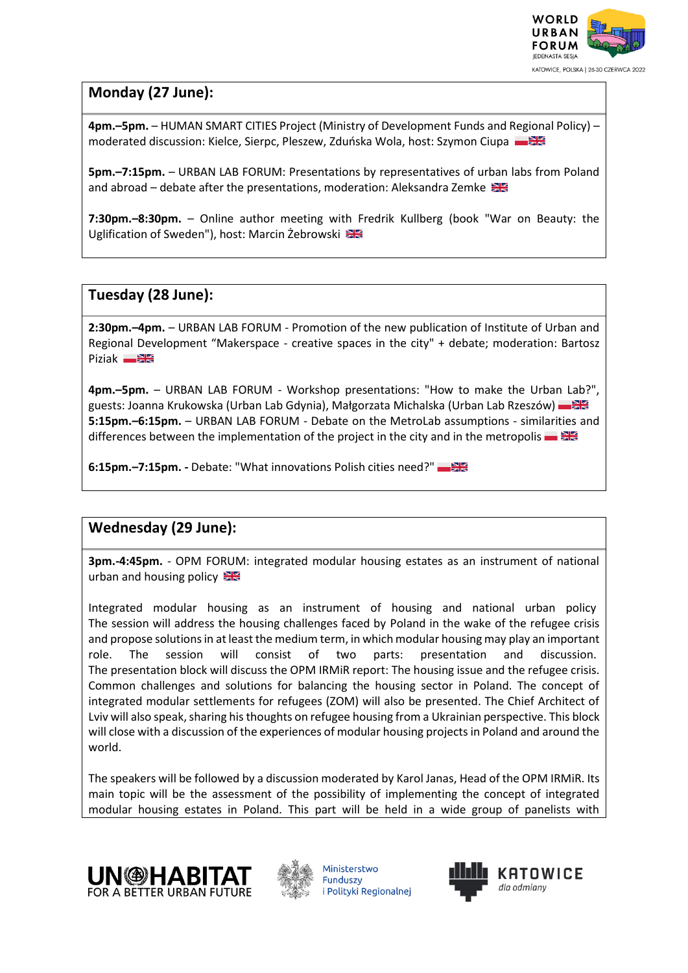

## **Monday (27 June):**

**4pm.–5pm.** – HUMAN SMART CITIES Project (Ministry of Development Funds and Regional Policy) – moderated discussion: Kielce, Sierpc, Pleszew, Zduńska Wola, host: Szymon Ciupa

**5pm.–7:15pm.** – URBAN LAB FORUM: Presentations by representatives of urban labs from Poland and abroad – debate after the presentations, moderation: Aleksandra Zemke

**7:30pm.–8:30pm.** – Online author meeting with Fredrik Kullberg (book "War on Beauty: the Uglification of Sweden"), host: Marcin Żebrowski

## **Tuesday (28 June):**

**2:30pm.–4pm.** – URBAN LAB FORUM - Promotion of the new publication of Institute of Urban and Regional Development "Makerspace - creative spaces in the city" + debate; moderation: Bartosz Piziak **Dianek** 

**4pm.–5pm.** – URBAN LAB FORUM - Workshop presentations: "How to make the Urban Lab?", guests: Joanna Krukowska (Urban Lab Gdynia), Małgorzata Michalska (Urban Lab Rzeszów) **5:15pm.–6:15pm.** – URBAN LAB FORUM - Debate on the MetroLab assumptions - similarities and differences between the implementation of the project in the city and in the metropolis  $\blacksquare$ 

**6:15pm.–7:15pm. -** Debate: "What innovations Polish cities need?"

## **Wednesday (29 June):**

**3pm.-4:45pm.** - OPM FORUM: integrated modular housing estates as an instrument of national urban and housing policy

Integrated modular housing as an instrument of housing and national urban policy The session will address the housing challenges faced by Poland in the wake of the refugee crisis and propose solutions in at least the medium term, in which modular housing may play an important role. The session will consist of two parts: presentation and discussion. The presentation block will discuss the OPM IRMiR report: The housing issue and the refugee crisis. Common challenges and solutions for balancing the housing sector in Poland. The concept of integrated modular settlements for refugees (ZOM) will also be presented. The Chief Architect of Lviv will also speak, sharing his thoughts on refugee housing from a Ukrainian perspective. This block will close with a discussion of the experiences of modular housing projects in Poland and around the world.

The speakers will be followed by a discussion moderated by Karol Janas, Head of the OPM IRMiR. Its main topic will be the assessment of the possibility of implementing the concept of integrated modular housing estates in Poland. This part will be held in a wide group of panelists with





Ministerstwo Funduszv i Polityki Regionalnej

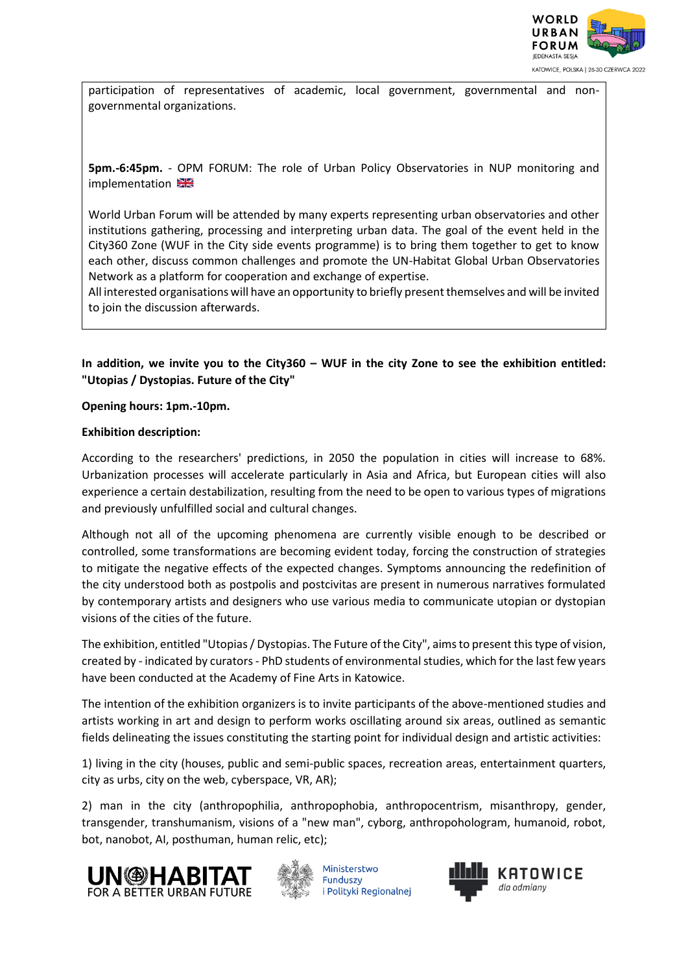

participation of representatives of academic, local government, governmental and nongovernmental organizations.

**5pm.-6:45pm.** - OPM FORUM: The role of Urban Policy Observatories in NUP monitoring and implementation

World Urban Forum will be attended by many experts representing urban observatories and other institutions gathering, processing and interpreting urban data. The goal of the event held in the City360 Zone (WUF in the City side events programme) is to bring them together to get to know each other, discuss common challenges and promote the UN-Habitat Global Urban Observatories Network as a platform for cooperation and exchange of expertise.

All interested organisations will have an opportunity to briefly present themselves and will be invited to join the discussion afterwards.

**In addition, we invite you to the City360 – WUF in the city Zone to see the exhibition entitled: "Utopias / Dystopias. Future of the City"**

**Opening hours: 1pm.-10pm.**

## **Exhibition description:**

According to the researchers' predictions, in 2050 the population in cities will increase to 68%. Urbanization processes will accelerate particularly in Asia and Africa, but European cities will also experience a certain destabilization, resulting from the need to be open to various types of migrations and previously unfulfilled social and cultural changes.

Although not all of the upcoming phenomena are currently visible enough to be described or controlled, some transformations are becoming evident today, forcing the construction of strategies to mitigate the negative effects of the expected changes. Symptoms announcing the redefinition of the city understood both as postpolis and postcivitas are present in numerous narratives formulated by contemporary artists and designers who use various media to communicate utopian or dystopian visions of the cities of the future.

The exhibition, entitled "Utopias / Dystopias. The Future of the City", aims to present this type of vision, created by - indicated by curators - PhD students of environmental studies, which for the last few years have been conducted at the Academy of Fine Arts in Katowice.

The intention of the exhibition organizers is to invite participants of the above-mentioned studies and artists working in art and design to perform works oscillating around six areas, outlined as semantic fields delineating the issues constituting the starting point for individual design and artistic activities:

1) living in the city (houses, public and semi-public spaces, recreation areas, entertainment quarters, city as urbs, city on the web, cyberspace, VR, AR);

2) man in the city (anthropophilia, anthropophobia, anthropocentrism, misanthropy, gender, transgender, transhumanism, visions of a "new man", cyborg, anthropohologram, humanoid, robot, bot, nanobot, AI, posthuman, human relic, etc);





Ministerstwo Funduszv i Polityki Regionalnej